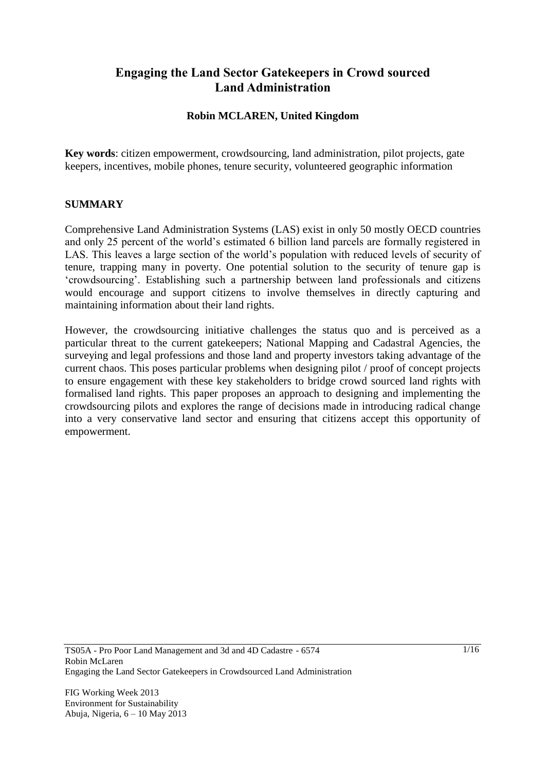## **Engaging the Land Sector Gatekeepers in Crowd sourced Land Administration**

### **Robin MCLAREN, United Kingdom**

**Key words**: citizen empowerment, crowdsourcing, land administration, pilot projects, gate keepers, incentives, mobile phones, tenure security, volunteered geographic information

#### **SUMMARY**

Comprehensive Land Administration Systems (LAS) exist in only 50 mostly OECD countries and only 25 percent of the world's estimated 6 billion land parcels are formally registered in LAS. This leaves a large section of the world's population with reduced levels of security of tenure, trapping many in poverty. One potential solution to the security of tenure gap is ‗crowdsourcing'. Establishing such a partnership between land professionals and citizens would encourage and support citizens to involve themselves in directly capturing and maintaining information about their land rights.

However, the crowdsourcing initiative challenges the status quo and is perceived as a particular threat to the current gatekeepers; National Mapping and Cadastral Agencies, the surveying and legal professions and those land and property investors taking advantage of the current chaos. This poses particular problems when designing pilot / proof of concept projects to ensure engagement with these key stakeholders to bridge crowd sourced land rights with formalised land rights. This paper proposes an approach to designing and implementing the crowdsourcing pilots and explores the range of decisions made in introducing radical change into a very conservative land sector and ensuring that citizens accept this opportunity of empowerment.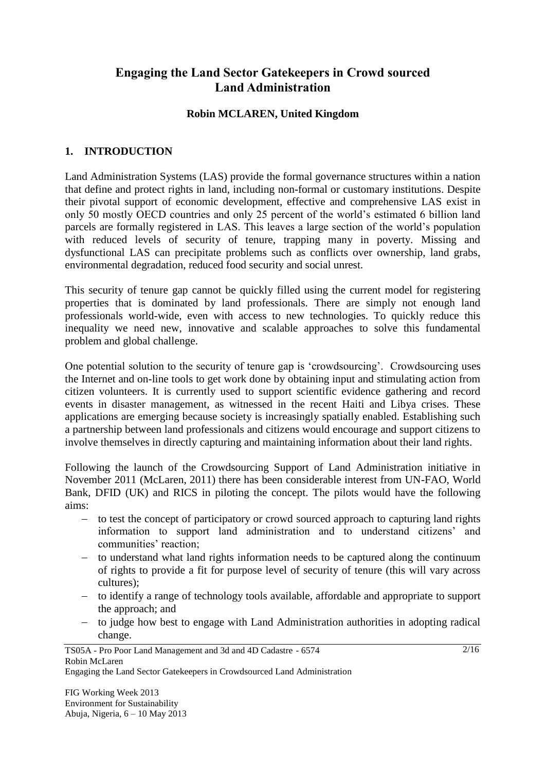## **Engaging the Land Sector Gatekeepers in Crowd sourced Land Administration**

### **Robin MCLAREN, United Kingdom**

### **1. INTRODUCTION**

Land Administration Systems (LAS) provide the formal governance structures within a nation that define and protect rights in land, including non-formal or customary institutions. Despite their pivotal support of economic development, effective and comprehensive LAS exist in only 50 mostly OECD countries and only 25 percent of the world's estimated 6 billion land parcels are formally registered in LAS. This leaves a large section of the world's population with reduced levels of security of tenure, trapping many in poverty. Missing and dysfunctional LAS can precipitate problems such as conflicts over ownership, land grabs, environmental degradation, reduced food security and social unrest.

This security of tenure gap cannot be quickly filled using the current model for registering properties that is dominated by land professionals. There are simply not enough land professionals world-wide, even with access to new technologies. To quickly reduce this inequality we need new, innovative and scalable approaches to solve this fundamental problem and global challenge.

One potential solution to the security of tenure gap is ‗crowdsourcing'. Crowdsourcing uses the Internet and on-line tools to get work done by obtaining input and stimulating action from citizen volunteers. It is currently used to support scientific evidence gathering and record events in disaster management, as witnessed in the recent Haiti and Libya crises. These applications are emerging because society is increasingly spatially enabled. Establishing such a partnership between land professionals and citizens would encourage and support citizens to involve themselves in directly capturing and maintaining information about their land rights.

Following the launch of the Crowdsourcing Support of Land Administration initiative in November 2011 (McLaren, 2011) there has been considerable interest from UN-FAO, World Bank, DFID (UK) and RICS in piloting the concept. The pilots would have the following aims:

- to test the concept of participatory or crowd sourced approach to capturing land rights information to support land administration and to understand citizens' and communities' reaction;
- to understand what land rights information needs to be captured along the continuum of rights to provide a fit for purpose level of security of tenure (this will vary across cultures);
- to identify a range of technology tools available, affordable and appropriate to support the approach; and
- to judge how best to engage with Land Administration authorities in adopting radical change.

#### TS05A - Pro Poor Land Management and 3d and 4D Cadastre - 6574 Robin McLaren Engaging the Land Sector Gatekeepers in Crowdsourced Land Administration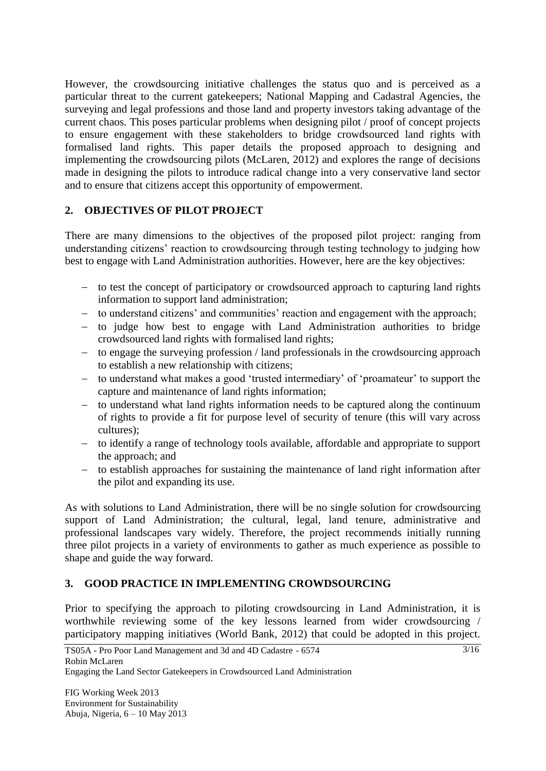However, the crowdsourcing initiative challenges the status quo and is perceived as a particular threat to the current gatekeepers; National Mapping and Cadastral Agencies, the surveying and legal professions and those land and property investors taking advantage of the current chaos. This poses particular problems when designing pilot / proof of concept projects to ensure engagement with these stakeholders to bridge crowdsourced land rights with formalised land rights. This paper details the proposed approach to designing and implementing the crowdsourcing pilots (McLaren, 2012) and explores the range of decisions made in designing the pilots to introduce radical change into a very conservative land sector and to ensure that citizens accept this opportunity of empowerment.

### **2. OBJECTIVES OF PILOT PROJECT**

There are many dimensions to the objectives of the proposed pilot project: ranging from understanding citizens' reaction to crowdsourcing through testing technology to judging how best to engage with Land Administration authorities. However, here are the key objectives:

- to test the concept of participatory or crowdsourced approach to capturing land rights information to support land administration;
- to understand citizens' and communities' reaction and engagement with the approach;
- to judge how best to engage with Land Administration authorities to bridge crowdsourced land rights with formalised land rights;
- to engage the surveying profession / land professionals in the crowdsourcing approach to establish a new relationship with citizens;
- to understand what makes a good 'trusted intermediary' of 'proamateur' to support the capture and maintenance of land rights information;
- to understand what land rights information needs to be captured along the continuum of rights to provide a fit for purpose level of security of tenure (this will vary across cultures);
- to identify a range of technology tools available, affordable and appropriate to support the approach; and
- $\overline{a}$  to establish approaches for sustaining the maintenance of land right information after the pilot and expanding its use.

As with solutions to Land Administration, there will be no single solution for crowdsourcing support of Land Administration; the cultural, legal, land tenure, administrative and professional landscapes vary widely. Therefore, the project recommends initially running three pilot projects in a variety of environments to gather as much experience as possible to shape and guide the way forward.

### **3. GOOD PRACTICE IN IMPLEMENTING CROWDSOURCING**

Prior to specifying the approach to piloting crowdsourcing in Land Administration, it is worthwhile reviewing some of the key lessons learned from wider crowdsourcing / participatory mapping initiatives (World Bank, 2012) that could be adopted in this project.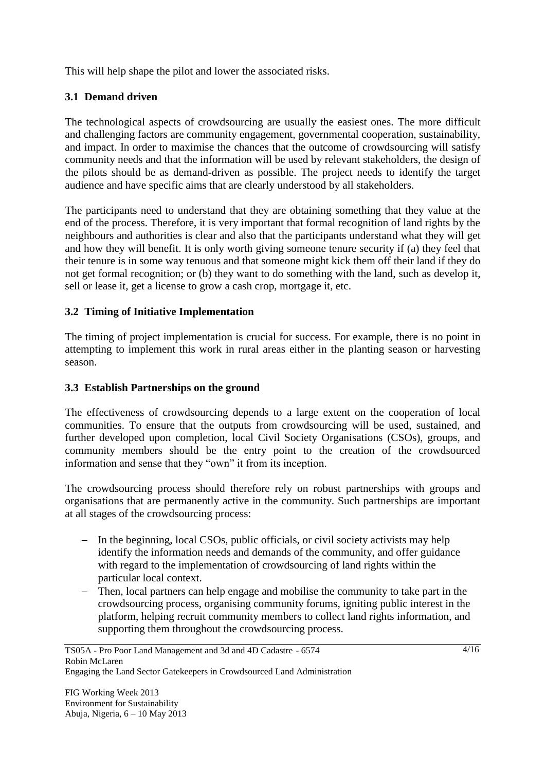This will help shape the pilot and lower the associated risks.

## **3.1 Demand driven**

The technological aspects of crowdsourcing are usually the easiest ones. The more difficult and challenging factors are community engagement, governmental cooperation, sustainability, and impact. In order to maximise the chances that the outcome of crowdsourcing will satisfy community needs and that the information will be used by relevant stakeholders, the design of the pilots should be as demand-driven as possible. The project needs to identify the target audience and have specific aims that are clearly understood by all stakeholders.

The participants need to understand that they are obtaining something that they value at the end of the process. Therefore, it is very important that formal recognition of land rights by the neighbours and authorities is clear and also that the participants understand what they will get and how they will benefit. It is only worth giving someone tenure security if (a) they feel that their tenure is in some way tenuous and that someone might kick them off their land if they do not get formal recognition; or (b) they want to do something with the land, such as develop it, sell or lease it, get a license to grow a cash crop, mortgage it, etc.

### **3.2 Timing of Initiative Implementation**

The timing of project implementation is crucial for success. For example, there is no point in attempting to implement this work in rural areas either in the planting season or harvesting season.

### **3.3 Establish Partnerships on the ground**

The effectiveness of crowdsourcing depends to a large extent on the cooperation of local communities. To ensure that the outputs from crowdsourcing will be used, sustained, and further developed upon completion, local Civil Society Organisations (CSOs), groups, and community members should be the entry point to the creation of the crowdsourced information and sense that they "own" it from its inception.

The crowdsourcing process should therefore rely on robust partnerships with groups and organisations that are permanently active in the community. Such partnerships are important at all stages of the crowdsourcing process:

- In the beginning, local CSOs, public officials, or civil society activists may help identify the information needs and demands of the community, and offer guidance with regard to the implementation of crowdsourcing of land rights within the particular local context.
- Then, local partners can help engage and mobilise the community to take part in the crowdsourcing process, organising community forums, igniting public interest in the platform, helping recruit community members to collect land rights information, and supporting them throughout the crowdsourcing process.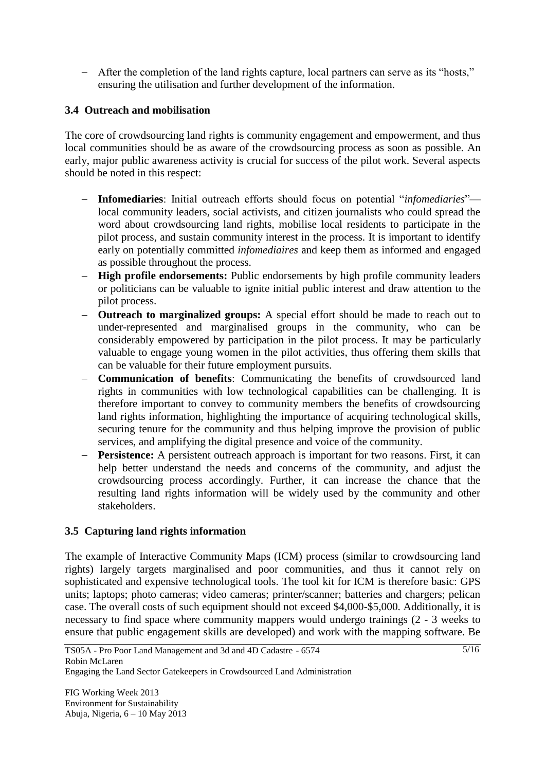- After the completion of the land rights capture, local partners can serve as its "hosts," ensuring the utilisation and further development of the information.

### **3.4 Outreach and mobilisation**

The core of crowdsourcing land rights is community engagement and empowerment, and thus local communities should be as aware of the crowdsourcing process as soon as possible. An early, major public awareness activity is crucial for success of the pilot work. Several aspects should be noted in this respect:

- **Infomediaries**: Initial outreach efforts should focus on potential "*infomediaries*"local community leaders, social activists, and citizen journalists who could spread the word about crowdsourcing land rights, mobilise local residents to participate in the pilot process, and sustain community interest in the process. It is important to identify early on potentially committed *infomediaires* and keep them as informed and engaged as possible throughout the process.
- **High profile endorsements:** Public endorsements by high profile community leaders or politicians can be valuable to ignite initial public interest and draw attention to the pilot process.
- **Outreach to marginalized groups:** A special effort should be made to reach out to under-represented and marginalised groups in the community, who can be considerably empowered by participation in the pilot process. It may be particularly valuable to engage young women in the pilot activities, thus offering them skills that can be valuable for their future employment pursuits.
- **Communication of benefits**: Communicating the benefits of crowdsourced land rights in communities with low technological capabilities can be challenging. It is therefore important to convey to community members the benefits of crowdsourcing land rights information, highlighting the importance of acquiring technological skills, securing tenure for the community and thus helping improve the provision of public services, and amplifying the digital presence and voice of the community.
- **Persistence:** A persistent outreach approach is important for two reasons. First, it can help better understand the needs and concerns of the community, and adjust the crowdsourcing process accordingly. Further, it can increase the chance that the resulting land rights information will be widely used by the community and other stakeholders.

### **3.5 Capturing land rights information**

The example of Interactive Community Maps (ICM) process (similar to crowdsourcing land rights) largely targets marginalised and poor communities, and thus it cannot rely on sophisticated and expensive technological tools. The tool kit for ICM is therefore basic: GPS units; laptops; photo cameras; video cameras; printer/scanner; batteries and chargers; pelican case. The overall costs of such equipment should not exceed \$4,000-\$5,000. Additionally, it is necessary to find space where community mappers would undergo trainings (2 - 3 weeks to ensure that public engagement skills are developed) and work with the mapping software. Be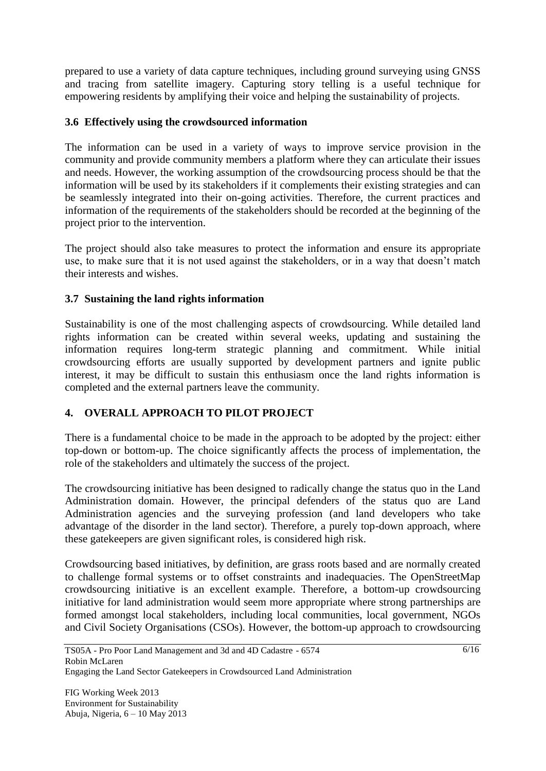prepared to use a variety of data capture techniques, including ground surveying using GNSS and tracing from satellite imagery. Capturing story telling is a useful technique for empowering residents by amplifying their voice and helping the sustainability of projects.

### **3.6 Effectively using the crowdsourced information**

The information can be used in a variety of ways to improve service provision in the community and provide community members a platform where they can articulate their issues and needs. However, the working assumption of the crowdsourcing process should be that the information will be used by its stakeholders if it complements their existing strategies and can be seamlessly integrated into their on-going activities. Therefore, the current practices and information of the requirements of the stakeholders should be recorded at the beginning of the project prior to the intervention.

The project should also take measures to protect the information and ensure its appropriate use, to make sure that it is not used against the stakeholders, or in a way that doesn't match their interests and wishes.

### **3.7 Sustaining the land rights information**

Sustainability is one of the most challenging aspects of crowdsourcing. While detailed land rights information can be created within several weeks, updating and sustaining the information requires long-term strategic planning and commitment. While initial crowdsourcing efforts are usually supported by development partners and ignite public interest, it may be difficult to sustain this enthusiasm once the land rights information is completed and the external partners leave the community.

### **4. OVERALL APPROACH TO PILOT PROJECT**

There is a fundamental choice to be made in the approach to be adopted by the project: either top-down or bottom-up. The choice significantly affects the process of implementation, the role of the stakeholders and ultimately the success of the project.

The crowdsourcing initiative has been designed to radically change the status quo in the Land Administration domain. However, the principal defenders of the status quo are Land Administration agencies and the surveying profession (and land developers who take advantage of the disorder in the land sector). Therefore, a purely top-down approach, where these gatekeepers are given significant roles, is considered high risk.

Crowdsourcing based initiatives, by definition, are grass roots based and are normally created to challenge formal systems or to offset constraints and inadequacies. The OpenStreetMap crowdsourcing initiative is an excellent example. Therefore, a bottom-up crowdsourcing initiative for land administration would seem more appropriate where strong partnerships are formed amongst local stakeholders, including local communities, local government, NGOs and Civil Society Organisations (CSOs). However, the bottom-up approach to crowdsourcing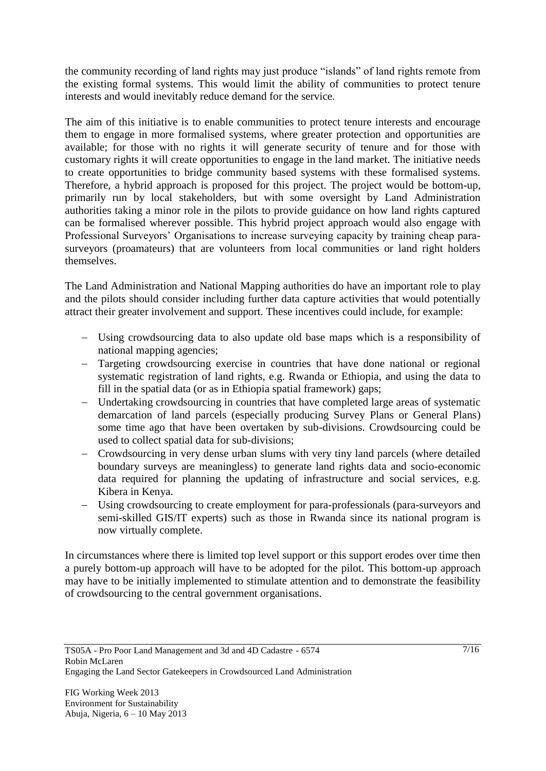the community recording of land rights may just produce "islands" of land rights remote from the existing formal systems. This would limit the ability of communities to protect tenure interests and would inevitably reduce demand for the service.

The aim of this initiative is to enable communities to protect tenure interests and encourage them to engage in more formalised systems, where greater protection and opportunities are available; for those with no rights it will generate security of tenure and for those with customary rights it will create opportunities to engage in the land market. The initiative needs to create opportunities to bridge community based systems with these formalised systems. Therefore, a hybrid approach is proposed for this project. The project would be bottom-up, primarily run by local stakeholders, but with some oversight by Land Administration authorities taking a minor role in the pilots to provide guidance on how land rights captured can be formalised wherever possible. This hybrid project approach would also engage with Professional Surveyors' Organisations to increase surveying capacity by training cheap parasurveyors (proamateurs) that are volunteers from local communities or land right holders themselves.

The Land Administration and National Mapping authorities do have an important role to play and the pilots should consider including further data capture activities that would potentially attract their greater involvement and support. These incentives could include, for example:

- Using crowdsourcing data to also update old base maps which is a responsibility of national mapping agencies;
- Targeting crowdsourcing exercise in countries that have done national or regional systematic registration of land rights, e.g. Rwanda or Ethiopia, and using the data to fill in the spatial data (or as in Ethiopia spatial framework) gaps;
- Undertaking crowdsourcing in countries that have completed large areas of systematic demarcation of land parcels (especially producing Survey Plans or General Plans) some time ago that have been overtaken by sub-divisions. Crowdsourcing could be used to collect spatial data for sub-divisions;
- Crowdsourcing in very dense urban slums with very tiny land parcels (where detailed boundary surveys are meaningless) to generate land rights data and socio-economic data required for planning the updating of infrastructure and social services, e.g. Kibera in Kenya.
- Using crowdsourcing to create employment for para-professionals (para-surveyors and semi-skilled GIS/IT experts) such as those in Rwanda since its national program is now virtually complete.

In circumstances where there is limited top level support or this support erodes over time then a purely bottom-up approach will have to be adopted for the pilot. This bottom-up approach may have to be initially implemented to stimulate attention and to demonstrate the feasibility of crowdsourcing to the central government organisations.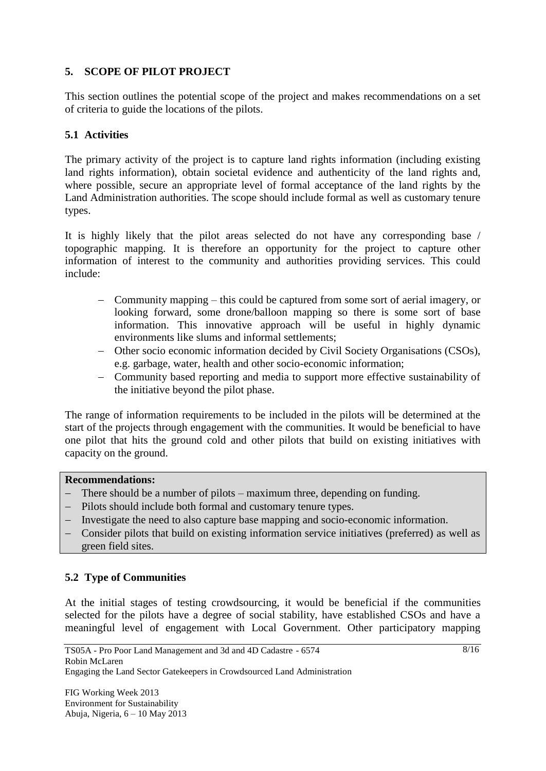### **5. SCOPE OF PILOT PROJECT**

This section outlines the potential scope of the project and makes recommendations on a set of criteria to guide the locations of the pilots.

### **5.1 Activities**

The primary activity of the project is to capture land rights information (including existing land rights information), obtain societal evidence and authenticity of the land rights and, where possible, secure an appropriate level of formal acceptance of the land rights by the Land Administration authorities. The scope should include formal as well as customary tenure types.

It is highly likely that the pilot areas selected do not have any corresponding base / topographic mapping. It is therefore an opportunity for the project to capture other information of interest to the community and authorities providing services. This could include:

- Community mapping this could be captured from some sort of aerial imagery, or looking forward, some drone/balloon mapping so there is some sort of base information. This innovative approach will be useful in highly dynamic environments like slums and informal settlements;
- Other socio economic information decided by Civil Society Organisations (CSOs), e.g. garbage, water, health and other socio-economic information;
- Community based reporting and media to support more effective sustainability of the initiative beyond the pilot phase.

The range of information requirements to be included in the pilots will be determined at the start of the projects through engagement with the communities. It would be beneficial to have one pilot that hits the ground cold and other pilots that build on existing initiatives with capacity on the ground.

#### **Recommendations:**

- There should be a number of pilots maximum three, depending on funding.
- Pilots should include both formal and customary tenure types.
- Investigate the need to also capture base mapping and socio-economic information.
- Consider pilots that build on existing information service initiatives (preferred) as well as green field sites.

### **5.2 Type of Communities**

At the initial stages of testing crowdsourcing, it would be beneficial if the communities selected for the pilots have a degree of social stability, have established CSOs and have a meaningful level of engagement with Local Government. Other participatory mapping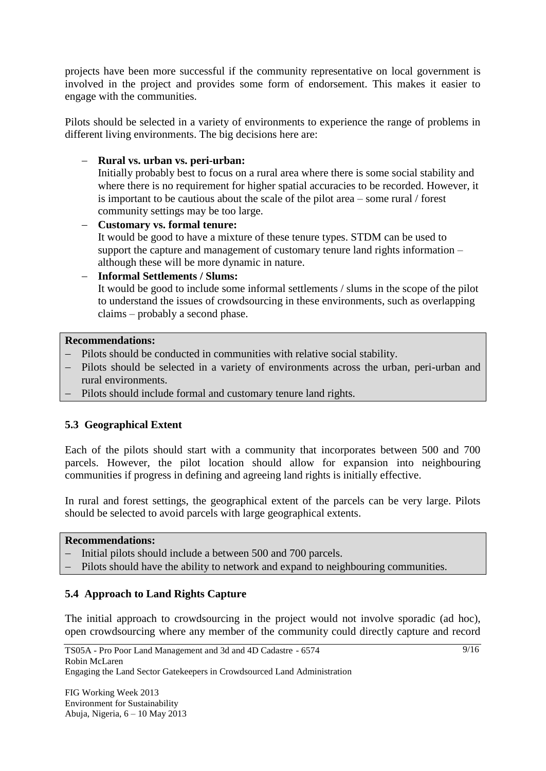projects have been more successful if the community representative on local government is involved in the project and provides some form of endorsement. This makes it easier to engage with the communities.

Pilots should be selected in a variety of environments to experience the range of problems in different living environments. The big decisions here are:

### **Rural vs. urban vs. peri-urban:**

Initially probably best to focus on a rural area where there is some social stability and where there is no requirement for higher spatial accuracies to be recorded. However, it is important to be cautious about the scale of the pilot area – some rural / forest community settings may be too large.

 **Customary vs. formal tenure:** It would be good to have a mixture of these tenure types. STDM can be used to support the capture and management of customary tenure land rights information – although these will be more dynamic in nature.

# **Informal Settlements / Slums:**

It would be good to include some informal settlements / slums in the scope of the pilot to understand the issues of crowdsourcing in these environments, such as overlapping claims – probably a second phase.

#### **Recommendations:**

- Pilots should be conducted in communities with relative social stability.
- Pilots should be selected in a variety of environments across the urban, peri-urban and rural environments.
- Pilots should include formal and customary tenure land rights.

### **5.3 Geographical Extent**

Each of the pilots should start with a community that incorporates between 500 and 700 parcels. However, the pilot location should allow for expansion into neighbouring communities if progress in defining and agreeing land rights is initially effective.

In rural and forest settings, the geographical extent of the parcels can be very large. Pilots should be selected to avoid parcels with large geographical extents.

#### **Recommendations:**

- Initial pilots should include a between 500 and 700 parcels.
- Pilots should have the ability to network and expand to neighbouring communities.

### **5.4 Approach to Land Rights Capture**

The initial approach to crowdsourcing in the project would not involve sporadic (ad hoc), open crowdsourcing where any member of the community could directly capture and record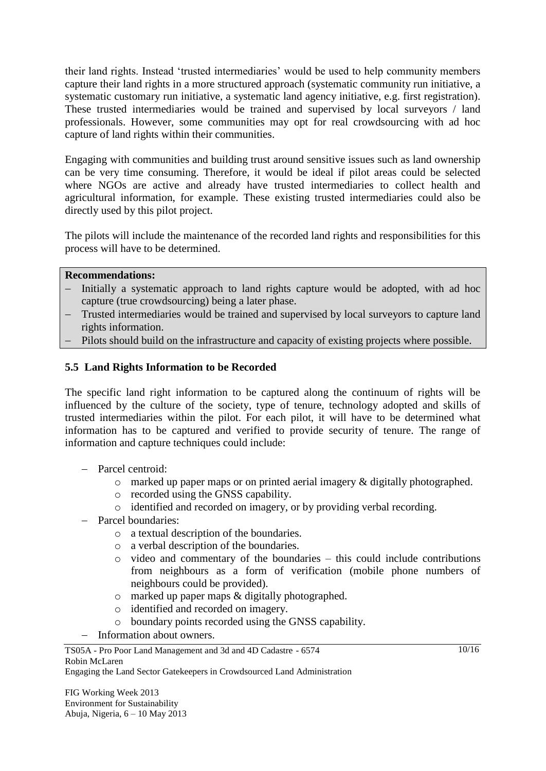their land rights. Instead ‗trusted intermediaries' would be used to help community members capture their land rights in a more structured approach (systematic community run initiative, a systematic customary run initiative, a systematic land agency initiative, e.g. first registration). These trusted intermediaries would be trained and supervised by local surveyors / land professionals. However, some communities may opt for real crowdsourcing with ad hoc capture of land rights within their communities.

Engaging with communities and building trust around sensitive issues such as land ownership can be very time consuming. Therefore, it would be ideal if pilot areas could be selected where NGOs are active and already have trusted intermediaries to collect health and agricultural information, for example. These existing trusted intermediaries could also be directly used by this pilot project.

The pilots will include the maintenance of the recorded land rights and responsibilities for this process will have to be determined.

#### **Recommendations:**

- Initially a systematic approach to land rights capture would be adopted, with ad hoc capture (true crowdsourcing) being a later phase.
- Trusted intermediaries would be trained and supervised by local surveyors to capture land rights information.
- Pilots should build on the infrastructure and capacity of existing projects where possible.

#### **5.5 Land Rights Information to be Recorded**

The specific land right information to be captured along the continuum of rights will be influenced by the culture of the society, type of tenure, technology adopted and skills of trusted intermediaries within the pilot. For each pilot, it will have to be determined what information has to be captured and verified to provide security of tenure. The range of information and capture techniques could include:

- Parcel centroid:
	- o marked up paper maps or on printed aerial imagery & digitally photographed.
	- o recorded using the GNSS capability.
	- o identified and recorded on imagery, or by providing verbal recording.
- Parcel boundaries:
	- o a textual description of the boundaries.
	- o a verbal description of the boundaries.
	- o video and commentary of the boundaries this could include contributions from neighbours as a form of verification (mobile phone numbers of neighbours could be provided).
	- o marked up paper maps & digitally photographed.
	- o identified and recorded on imagery.
	- o boundary points recorded using the GNSS capability.
- Information about owners.

Engaging the Land Sector Gatekeepers in Crowdsourced Land Administration

 $10/16$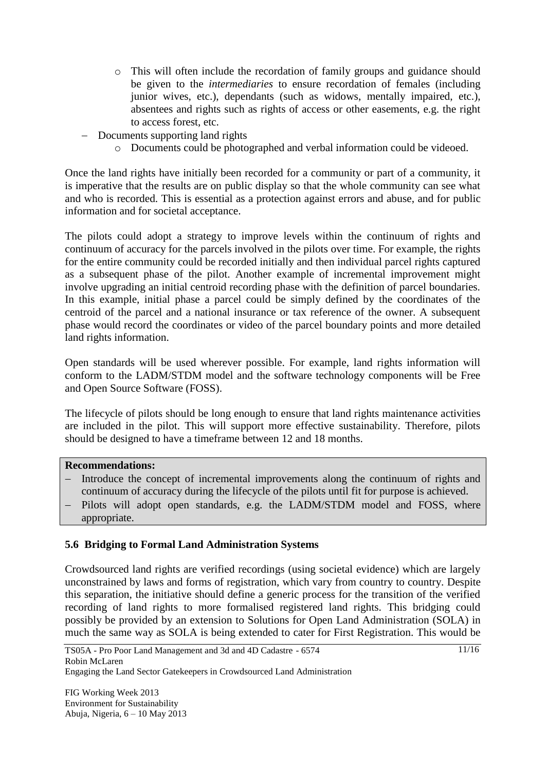- o This will often include the recordation of family groups and guidance should be given to the *intermediaries* to ensure recordation of females (including junior wives, etc.), dependants (such as widows, mentally impaired, etc.), absentees and rights such as rights of access or other easements, e.g. the right to access forest, etc.
- Documents supporting land rights
	- o Documents could be photographed and verbal information could be videoed.

Once the land rights have initially been recorded for a community or part of a community, it is imperative that the results are on public display so that the whole community can see what and who is recorded. This is essential as a protection against errors and abuse, and for public information and for societal acceptance.

The pilots could adopt a strategy to improve levels within the continuum of rights and continuum of accuracy for the parcels involved in the pilots over time. For example, the rights for the entire community could be recorded initially and then individual parcel rights captured as a subsequent phase of the pilot. Another example of incremental improvement might involve upgrading an initial centroid recording phase with the definition of parcel boundaries. In this example, initial phase a parcel could be simply defined by the coordinates of the centroid of the parcel and a national insurance or tax reference of the owner. A subsequent phase would record the coordinates or video of the parcel boundary points and more detailed land rights information.

Open standards will be used wherever possible. For example, land rights information will conform to the LADM/STDM model and the software technology components will be Free and Open Source Software (FOSS).

The lifecycle of pilots should be long enough to ensure that land rights maintenance activities are included in the pilot. This will support more effective sustainability. Therefore, pilots should be designed to have a timeframe between 12 and 18 months.

#### **Recommendations:**

- Introduce the concept of incremental improvements along the continuum of rights and continuum of accuracy during the lifecycle of the pilots until fit for purpose is achieved.
- Pilots will adopt open standards, e.g. the LADM/STDM model and FOSS, where appropriate.

### **5.6 Bridging to Formal Land Administration Systems**

Crowdsourced land rights are verified recordings (using societal evidence) which are largely unconstrained by laws and forms of registration, which vary from country to country. Despite this separation, the initiative should define a generic process for the transition of the verified recording of land rights to more formalised registered land rights. This bridging could possibly be provided by an extension to Solutions for Open Land Administration (SOLA) in much the same way as SOLA is being extended to cater for First Registration. This would be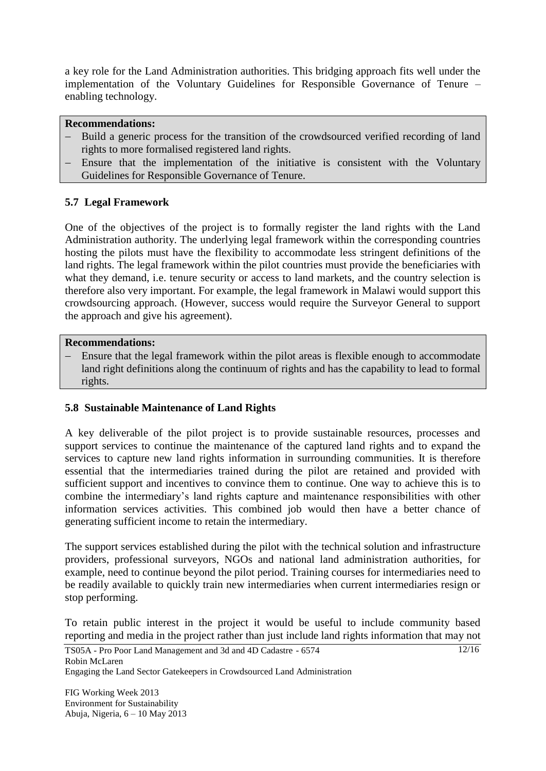a key role for the Land Administration authorities. This bridging approach fits well under the implementation of the Voluntary Guidelines for Responsible Governance of Tenure – enabling technology.

#### **Recommendations:**

- Build a generic process for the transition of the crowdsourced verified recording of land rights to more formalised registered land rights.
- Ensure that the implementation of the initiative is consistent with the Voluntary Guidelines for Responsible Governance of Tenure.

### **5.7 Legal Framework**

One of the objectives of the project is to formally register the land rights with the Land Administration authority. The underlying legal framework within the corresponding countries hosting the pilots must have the flexibility to accommodate less stringent definitions of the land rights. The legal framework within the pilot countries must provide the beneficiaries with what they demand, i.e. tenure security or access to land markets, and the country selection is therefore also very important. For example, the legal framework in Malawi would support this crowdsourcing approach. (However, success would require the Surveyor General to support the approach and give his agreement).

#### **Recommendations:**

 Ensure that the legal framework within the pilot areas is flexible enough to accommodate land right definitions along the continuum of rights and has the capability to lead to formal rights.

### **5.8 Sustainable Maintenance of Land Rights**

A key deliverable of the pilot project is to provide sustainable resources, processes and support services to continue the maintenance of the captured land rights and to expand the services to capture new land rights information in surrounding communities. It is therefore essential that the intermediaries trained during the pilot are retained and provided with sufficient support and incentives to convince them to continue. One way to achieve this is to combine the intermediary's land rights capture and maintenance responsibilities with other information services activities. This combined job would then have a better chance of generating sufficient income to retain the intermediary.

The support services established during the pilot with the technical solution and infrastructure providers, professional surveyors, NGOs and national land administration authorities, for example, need to continue beyond the pilot period. Training courses for intermediaries need to be readily available to quickly train new intermediaries when current intermediaries resign or stop performing.

To retain public interest in the project it would be useful to include community based reporting and media in the project rather than just include land rights information that may not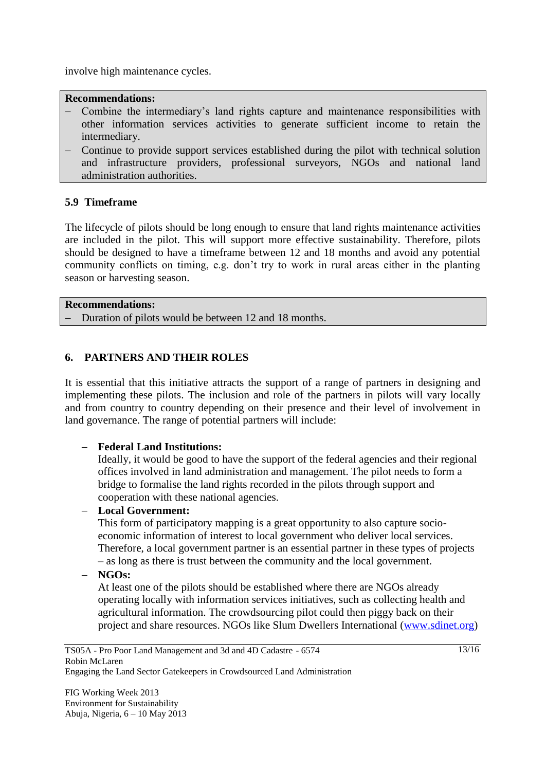involve high maintenance cycles.

#### **Recommendations:**

- Combine the intermediary's land rights capture and maintenance responsibilities with other information services activities to generate sufficient income to retain the intermediary.
- Continue to provide support services established during the pilot with technical solution and infrastructure providers, professional surveyors, NGOs and national land administration authorities.

### **5.9 Timeframe**

The lifecycle of pilots should be long enough to ensure that land rights maintenance activities are included in the pilot. This will support more effective sustainability. Therefore, pilots should be designed to have a timeframe between 12 and 18 months and avoid any potential community conflicts on timing, e.g. don't try to work in rural areas either in the planting season or harvesting season.

#### **Recommendations:**

- Duration of pilots would be between 12 and 18 months.

### **6. PARTNERS AND THEIR ROLES**

It is essential that this initiative attracts the support of a range of partners in designing and implementing these pilots. The inclusion and role of the partners in pilots will vary locally and from country to country depending on their presence and their level of involvement in land governance. The range of potential partners will include:

### **Federal Land Institutions:**

Ideally, it would be good to have the support of the federal agencies and their regional offices involved in land administration and management. The pilot needs to form a bridge to formalise the land rights recorded in the pilots through support and cooperation with these national agencies.

### **Local Government:**

This form of participatory mapping is a great opportunity to also capture socioeconomic information of interest to local government who deliver local services. Therefore, a local government partner is an essential partner in these types of projects – as long as there is trust between the community and the local government.

**NGOs:**

At least one of the pilots should be established where there are NGOs already operating locally with information services initiatives, such as collecting health and agricultural information. The crowdsourcing pilot could then piggy back on their project and share resources. NGOs like Slum Dwellers International [\(www.sdinet.org\)](http://www.sdinet.org/)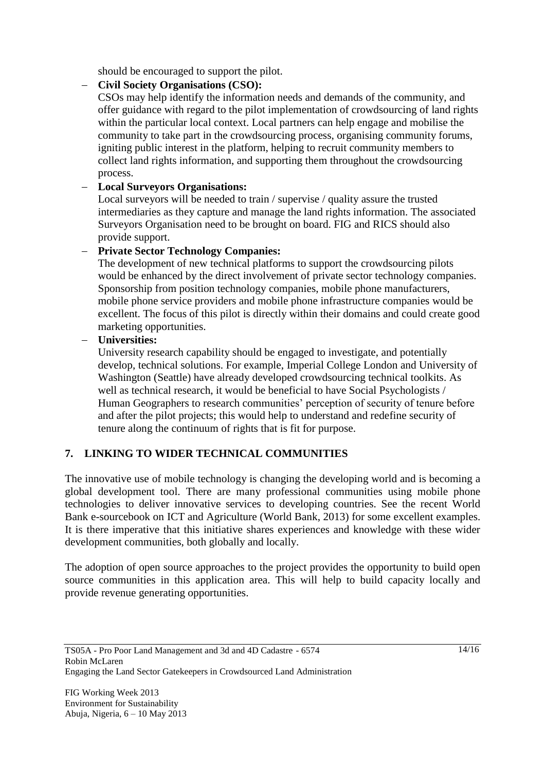should be encouraged to support the pilot.

### **Civil Society Organisations (CSO):**

CSOs may help identify the information needs and demands of the community, and offer guidance with regard to the pilot implementation of crowdsourcing of land rights within the particular local context. Local partners can help engage and mobilise the community to take part in the crowdsourcing process, organising community forums, igniting public interest in the platform, helping to recruit community members to collect land rights information, and supporting them throughout the crowdsourcing process.

### **Local Surveyors Organisations:**

Local surveyors will be needed to train / supervise / quality assure the trusted intermediaries as they capture and manage the land rights information. The associated Surveyors Organisation need to be brought on board. FIG and RICS should also provide support.

### **Private Sector Technology Companies:**

The development of new technical platforms to support the crowdsourcing pilots would be enhanced by the direct involvement of private sector technology companies. Sponsorship from position technology companies, mobile phone manufacturers, mobile phone service providers and mobile phone infrastructure companies would be excellent. The focus of this pilot is directly within their domains and could create good marketing opportunities.

### **Universities:**

University research capability should be engaged to investigate, and potentially develop, technical solutions. For example, Imperial College London and University of Washington (Seattle) have already developed crowdsourcing technical toolkits. As well as technical research, it would be beneficial to have Social Psychologists / Human Geographers to research communities' perception of security of tenure before and after the pilot projects; this would help to understand and redefine security of tenure along the continuum of rights that is fit for purpose.

### **7. LINKING TO WIDER TECHNICAL COMMUNITIES**

The innovative use of mobile technology is changing the developing world and is becoming a global development tool. There are many professional communities using mobile phone technologies to deliver innovative services to developing countries. See the recent World Bank e-sourcebook on ICT and Agriculture (World Bank, 2013) for some excellent examples. It is there imperative that this initiative shares experiences and knowledge with these wider development communities, both globally and locally.

The adoption of open source approaches to the project provides the opportunity to build open source communities in this application area. This will help to build capacity locally and provide revenue generating opportunities.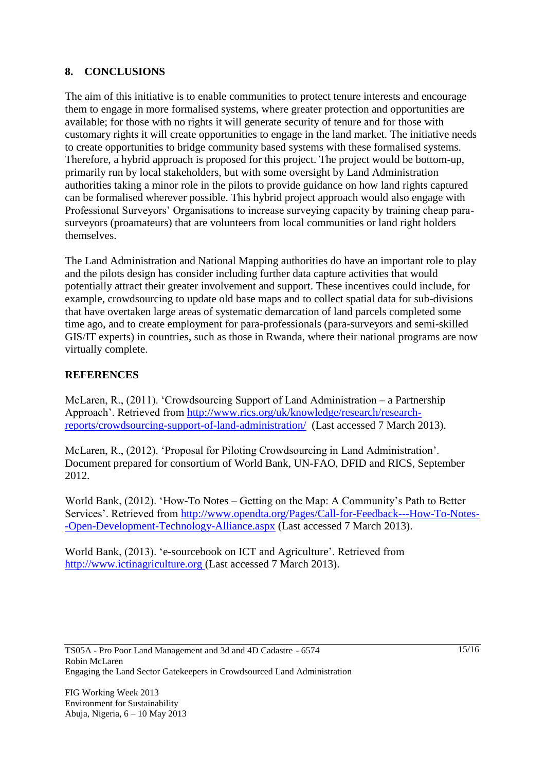### **8. CONCLUSIONS**

The aim of this initiative is to enable communities to protect tenure interests and encourage them to engage in more formalised systems, where greater protection and opportunities are available; for those with no rights it will generate security of tenure and for those with customary rights it will create opportunities to engage in the land market. The initiative needs to create opportunities to bridge community based systems with these formalised systems. Therefore, a hybrid approach is proposed for this project. The project would be bottom-up, primarily run by local stakeholders, but with some oversight by Land Administration authorities taking a minor role in the pilots to provide guidance on how land rights captured can be formalised wherever possible. This hybrid project approach would also engage with Professional Surveyors' Organisations to increase surveying capacity by training cheap parasurveyors (proamateurs) that are volunteers from local communities or land right holders themselves.

The Land Administration and National Mapping authorities do have an important role to play and the pilots design has consider including further data capture activities that would potentially attract their greater involvement and support. These incentives could include, for example, crowdsourcing to update old base maps and to collect spatial data for sub-divisions that have overtaken large areas of systematic demarcation of land parcels completed some time ago, and to create employment for para-professionals (para-surveyors and semi-skilled GIS/IT experts) in countries, such as those in Rwanda, where their national programs are now virtually complete.

### **REFERENCES**

McLaren, R., (2011). 'Crowdsourcing Support of Land Administration – a Partnership Approach'. Retrieved from [http://www.rics.org/uk/knowledge/research/research](http://www.rics.org/uk/knowledge/research/research-reports/crowdsourcing-support-of-land-administration/)[reports/crowdsourcing-support-of-land-administration/](http://www.rics.org/uk/knowledge/research/research-reports/crowdsourcing-support-of-land-administration/) (Last accessed 7 March 2013).

McLaren, R., (2012). 'Proposal for Piloting Crowdsourcing in Land Administration'. Document prepared for consortium of World Bank, UN-FAO, DFID and RICS, September 2012.

World Bank, (2012). 'How-To Notes – Getting on the Map: A Community's Path to Better Services'. Retrieved from [http://www.opendta.org/Pages/Call-for-Feedback---How-To-Notes-](http://www.opendta.org/Pages/Call-for-Feedback---How-To-Notes--Open-Development-Technology-Alliance.aspx) [-Open-Development-Technology-Alliance.aspx](http://www.opendta.org/Pages/Call-for-Feedback---How-To-Notes--Open-Development-Technology-Alliance.aspx) (Last accessed 7 March 2013).

World Bank, (2013). ‗e-sourcebook on ICT and Agriculture'. Retrieved from [http://www.ictinagriculture.org](http://www.ictinagriculture.org/) (Last accessed 7 March 2013).